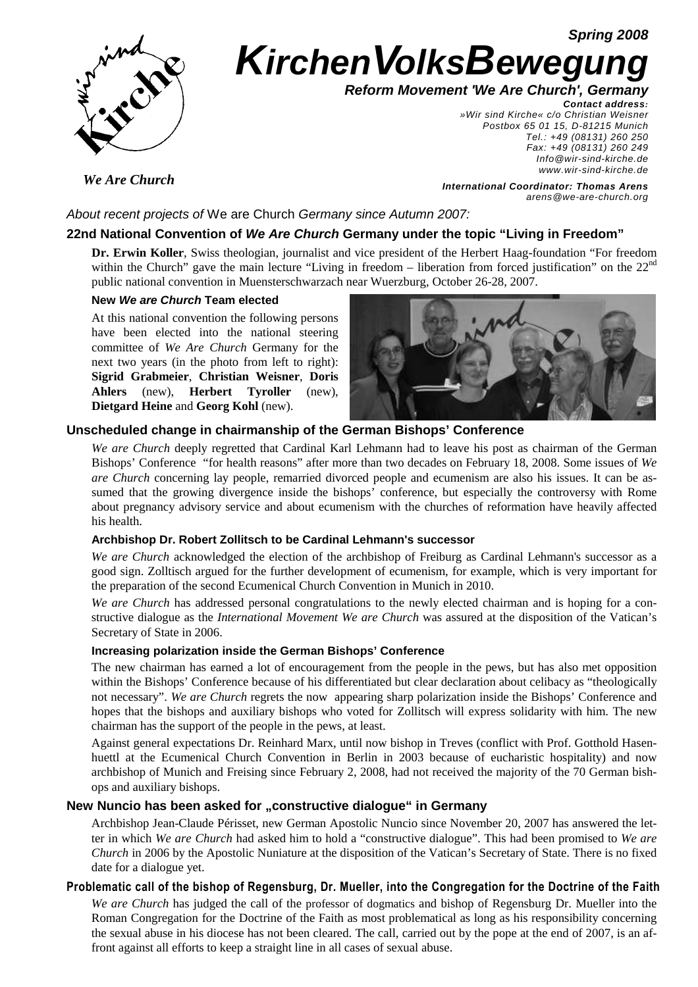**Spring 2008**



# **KirchenVolksBewegung**

**Reform Movement 'We Are Church', Germany**

**Contact address:**  »Wir sind Kirche« c/o Christian Weisner Postbox 65 01 15, D-81215 Munich Tel.: +49 (08131) 260 250 Fax: +49 (08131) 260 249 Info@wir-sind-kirche.de www.wir-sind-kirche.de

*We Are Church*

**International Coordinator: Thomas Arens** arens@we-are-church.org

About recent projects of We are Church Germany since Autumn 2007:

# **22nd National Convention of We Are Church Germany under the topic "Living in Freedom"**

**Dr. Erwin Koller**, Swiss theologian, journalist and vice president of the Herbert Haag-foundation "For freedom within the Church" gave the main lecture "Living in freedom – liberation from forced justification" on the 22<sup>nd</sup> public national convention in Muensterschwarzach near Wuerzburg, October 26-28, 2007.

#### **New We are Church Team elected**

At this national convention the following persons have been elected into the national steering committee of *We Are Church* Germany for the next two years (in the photo from left to right): **Sigrid Grabmeier**, **Christian Weisner**, **Doris Ahlers** (new), **Herbert Tyroller** (new), **Dietgard Heine** and **Georg Kohl** (new).



## **Unscheduled change in chairmanship of the German Bishops' Conference**

*We are Church* deeply regretted that Cardinal Karl Lehmann had to leave his post as chairman of the German Bishops' Conference "for health reasons" after more than two decades on February 18, 2008. Some issues of *We are Church* concerning lay people, remarried divorced people and ecumenism are also his issues. It can be assumed that the growing divergence inside the bishops' conference, but especially the controversy with Rome about pregnancy advisory service and about ecumenism with the churches of reformation have heavily affected his health.

### **Archbishop Dr. Robert Zollitsch to be Cardinal Lehmann's successor**

*We are Church* acknowledged the election of the archbishop of Freiburg as Cardinal Lehmann's successor as a good sign. Zolltisch argued for the further development of ecumenism, for example, which is very important for the preparation of the second Ecumenical Church Convention in Munich in 2010.

*We are Church* has addressed personal congratulations to the newly elected chairman and is hoping for a constructive dialogue as the *International Movement We are Church* was assured at the disposition of the Vatican's Secretary of State in 2006.

#### **Increasing polarization inside the German Bishops' Conference**

The new chairman has earned a lot of encouragement from the people in the pews, but has also met opposition within the Bishops' Conference because of his differentiated but clear declaration about celibacy as "theologically not necessary". *We are Church* regrets the now appearing sharp polarization inside the Bishops' Conference and hopes that the bishops and auxiliary bishops who voted for Zollitsch will express solidarity with him. The new chairman has the support of the people in the pews, at least.

Against general expectations Dr. Reinhard Marx, until now bishop in Treves (conflict with Prof. Gotthold Hasenhuettl at the Ecumenical Church Convention in Berlin in 2003 because of eucharistic hospitality) and now archbishop of Munich and Freising since February 2, 2008, had not received the majority of the 70 German bishops and auxiliary bishops.

### **New Nuncio has been asked for "constructive dialogue" in Germany**

Archbishop Jean-Claude Périsset, new German Apostolic Nuncio since November 20, 2007 has answered the letter in which *We are Church* had asked him to hold a "constructive dialogue". This had been promised to *We are Church* in 2006 by the Apostolic Nuniature at the disposition of the Vatican's Secretary of State. There is no fixed date for a dialogue yet.

### Problematic call of the bishop of Regensburg, Dr. Mueller, into the Congregation for the Doctrine of the Faith

*We are Church* has judged the call of the professor of dogmatics and bishop of Regensburg Dr. Mueller into the Roman Congregation for the Doctrine of the Faith as most problematical as long as his responsibility concerning the sexual abuse in his diocese has not been cleared. The call, carried out by the pope at the end of 2007, is an affront against all efforts to keep a straight line in all cases of sexual abuse.